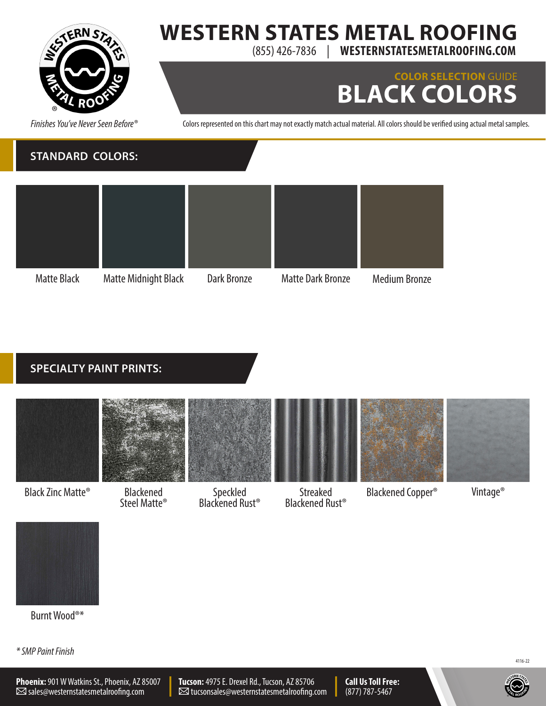

#### **WESTERN STATES METAL ROOFING** (855) 426-7836 | **WESTERNSTATESMETALROOFING.COM**

## **COLOR SELECTION** GUIDE **BLACK COLORS**

*Finishes You've Never Seen Before®*

Colors represented on this chart may not exactly match actual material. All colors should be verified using actual metal samples.

# **STANDARD COLORS:** Matte Black Matte Midnight Black Dark Bronze Matte Dark Bronze Medium Bronze

#### **SPECIALTY PAINT PRINTS:**





Blackened Steel Matte®



Black Zinc Matte® Streaked Blackened Rust® Speckled Blackened Rust® Blackened Copper® Vintage®





Burnt Wood®\*

*\* SMP Paint Finish*